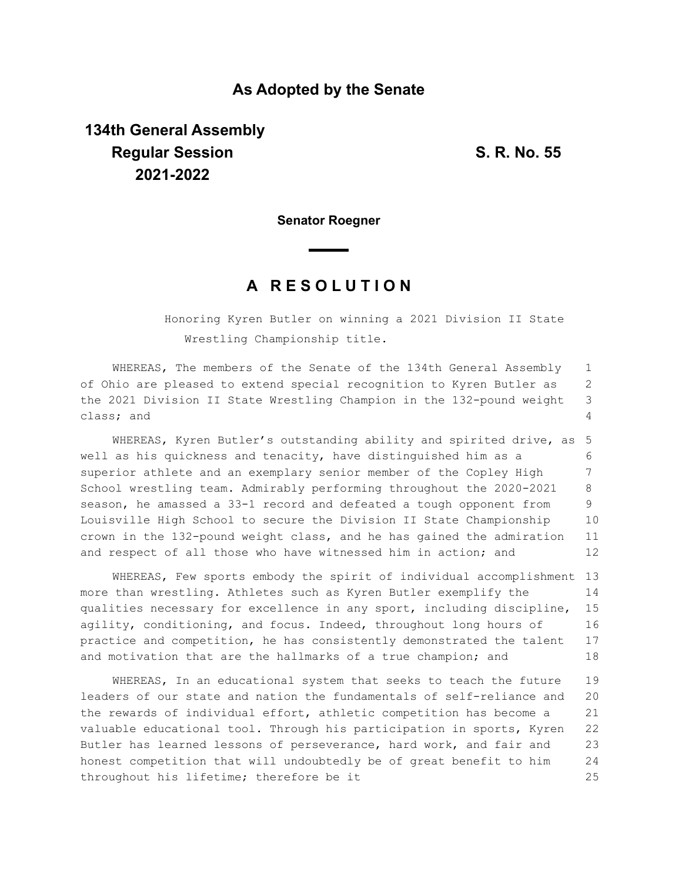### **As Adopted by the Senate**

# **134th General Assembly Regular Session S. R. No. 55 2021-2022**

**Senator Roegner**

## **A R E S O L U T I O N**

Honoring Kyren Butler on winning a 2021 Division II State Wrestling Championship title.

WHEREAS, The members of the Senate of the 134th General Assembly of Ohio are pleased to extend special recognition to Kyren Butler as the 2021 Division II State Wrestling Champion in the 132-pound weight class; and 1 2 3 4

WHEREAS, Kyren Butler's outstanding ability and spirited drive, as well as his quickness and tenacity, have distinguished him as a superior athlete and an exemplary senior member of the Copley High School wrestling team. Admirably performing throughout the 2020-2021 season, he amassed a 33-1 record and defeated a tough opponent from Louisville High School to secure the Division II State Championship crown in the 132-pound weight class, and he has gained the admiration and respect of all those who have witnessed him in action; and 5 6 7 8 9 10 11 12

WHEREAS, Few sports embody the spirit of individual accomplishment 13 more than wrestling. Athletes such as Kyren Butler exemplify the qualities necessary for excellence in any sport, including discipline, agility, conditioning, and focus. Indeed, throughout long hours of practice and competition, he has consistently demonstrated the talent and motivation that are the hallmarks of a true champion; and 14 15 16 17 18

WHEREAS, In an educational system that seeks to teach the future leaders of our state and nation the fundamentals of self-reliance and the rewards of individual effort, athletic competition has become a valuable educational tool. Through his participation in sports, Kyren Butler has learned lessons of perseverance, hard work, and fair and honest competition that will undoubtedly be of great benefit to him throughout his lifetime; therefore be it 19 20 21 22 23 24 25